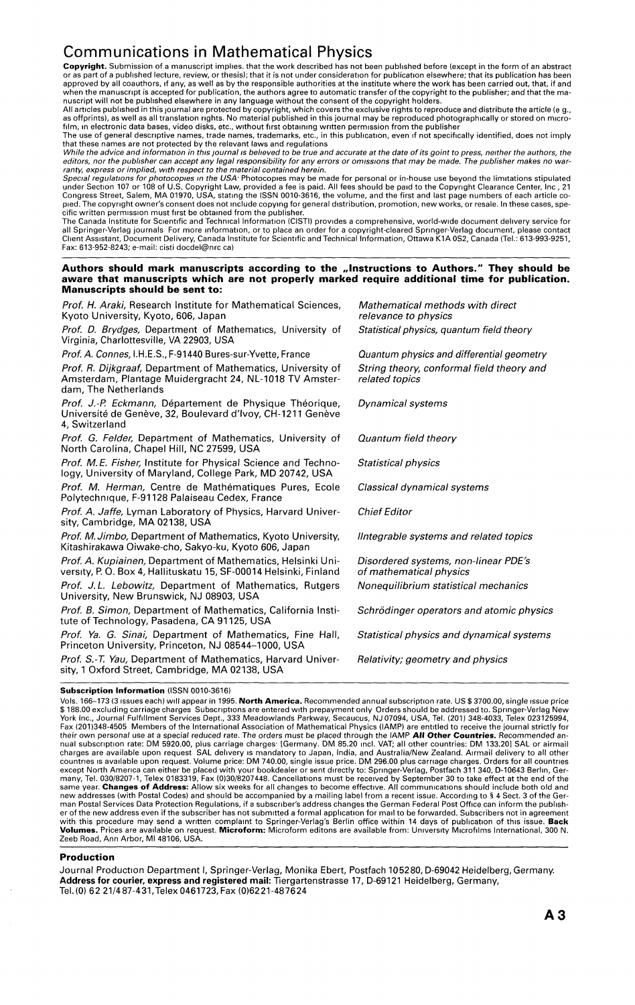## Communications in Mathematical Physics

Copyright. Submission of a manuscript implies, that the work described has not been published before (except in the form of an abstract<br>or as part of a published lecture, review, or thesis); that it is not under considerat

All articles published in this journal are protected by copyright, which covers the exclusive rights to reproduce and distribute the article (e g.,<br>as offprints), as well as all translation rights. No material published in film, in electronic data bases, video disks, etc., without first obtaining written permission from the publisher

The use of general descriptive names, trade names, trademarks, etc., in this publication, even if not specifically identified, does not imply that these names are not protected by the relevant laws and regulations

While the advice and information in this journal is believed to be true and accurate at the date of its goint to press, neither the authors, the<br>editors, nor the publisher can accept any legal responsibility for any errors *ranty, express or implied, with respect to the material contained herein. Special regulations for photocopies in the USA-* Photocopies may be made for personal or in-house use beyond the limitations stipulated

under Section 107 or 108 of U.S. Copyright Law, provided a fee is paid. All fees should be paid to the Copyright Clearance Center, Inc , 21<br>Congress Street, Salem, MA 01970, USA, stating the ISSN 0010-3616, the volume, and

The Canada Institute for Scientific and Technical Information (CISTI) provides a comprehensive, world-wide document delivery service for all Springer-Verlag journals For more information, or to place an order for a copyright-cleared Springer-Verlag document, please contact<br>Client Assistant, Document Delivery, Canada Institute for Scientific and Technical In Fax: 613-952-8243; e-mail: cisti docdel@nrc ca)

Authors should mark manuscripts according to the "Instructions to Authors." They should be **aware that manuscripts which are not properly marked require additional time for publication. Manuscripts should be sent to:**

*Prof. H. Araki,* Research Institute for Mathematical Sciences, *Mathematical methods with direct* Kyoto University, Kyoto, 606, Japan

*Prof. D. Brydges,* Department of Mathematics, University of *Statistical physics, quantum field theory* Virginia, Charlottesville, VA 22903, USA

*Prof. R. Dijkgraaf, Department of Mathematics, University of String theory, Amsterdam, Plantage Muidergracht 24, NL-1018 TV Amster- related topics* Amsterdam, Plantage Muidergracht 24, NL-1018 TV Amsterdam, The Netherlands

*Prof. J.-P. Eckmann,* Departement de Physique Theorique, *Dynamical systems* Universite de Geneve, 32, Boulevard d'lvoy, CH-1211 Geneve 4, Switzerland

*Prof. G. Felder,* Department of Mathematics, University of *Quantum field theory* North Carolina, Chapel Hill, NC 27599, USA

*Prof. M.E. Fisher,* Institute for Physical Science and Techno *Statistical physics* logy, University of Maryland, College Park, MD 20742, USA

*Prof. M. Herman,* Centre de Mathematiques Pures, Ecole *Classical dynamical systems* Polytechnique, F-91128 Palaiseau Cedex, France

*Prof. A. Jaffe,* Lyman Laboratory of Physics, Harvard Univer *Chief Editor* sity, Cambridge, MA 02138, USA

*Prof. M. Jimbo,* Department of Mathematics, Kyoto University, *llntegrable systems and related topics* Kitashirakawa Oiwake-cho, Sakyo-ku, Kyoto 606, Japan

*Prof. A. Kupiainen,* Department of Mathematics, Helsinki Uni *Disordered systems, non-linear PDE's* versity, P. 0. Box 4, Hallituskatu 15, SF-00014 Helsinki, Finland *of mathematical physics Prof. J.L. Lebowitz,* Department of Mathematics, Rutgers *Nonequilibrium statistical mechanics* University, New Brunswick, NJ 08903, USA

*Prof. B. Simon,* Department of Mathematics, California Insti *Schrόdinger operators and atomic physics* tute of Technology, Pasadena, CA 91125, USA

*Prof. Ya. G. Sinai,* Department of Mathematics, Fine Hall, *Statistical physics and dynamical systems* Princeton University, Princeton, NJ 08544-1000, USA

*Prof. S.-T. Yau,* Department of Mathematics, Harvard Univer *Relativity; geometry and physics* sity, 1 Oxford Street, Cambridge, MA 02138, USA

*Prof. A. Connes,* I.H.E.S., F-91440 Bures-sur-Yvette, France *Quantum physics and differential geometry*

**Subscription Information** (ISSN 0010-3616)

Vols. 166-173 (3 issues each) will appear in 1995. **North America.** Recommended annual subscription rate. US \$ 3700.00, single issue price \$ 188.00 excluding carriage charges Subscriptions are entered with prepayment only Orders should be addressed to. Springer-Verlag New<br>York Inc., Journal Fulfillment Services Dept., 333 Meadowlands Parkway, Secaucus, NJ 0 Fax (201)348-4505 Members of the International Association of Mathematical Physics (IAMP) are entitled to receive the journal strictly for<br>their own personal use at a special reduced rate. The orders must be placed through except North America can either be placed with your bookdealer or sent directly to: Springer-Verlag, Postfach 311 340, D-10643 Berlin, Ger-<br>many, Tel. 030/8207-1, Telex 0183319, Fax (0)30/8207448. Cancellations must be rec examples of Address: Allow six weeks for all changes to become effective. All communications should include both old and<br>hew addresses (with Postal Codes) and should be accompanied by a mailing label from a recent issue. A er of the new address even if the subscriber has not submitted a formal application for mail to be forwarded. Subscribers not in agreement<br>with this procedure may send a written complaint to Springer-Verlag's Berlin office Zeeb Road, Ann Arbor, Ml 48106, USA.

## **Production**

Journal Production Department I, Springer-Verlag, Monika Ebert, Postfach 105280, D-69042 Heidelberg, Germany. Address for courier, express and registered mail: Tiergartenstrasse 17, D-69121 Heidelberg, Germany, Tel.(0) 62 21/487-431,Telex0461723,Fax (0)6221-487624